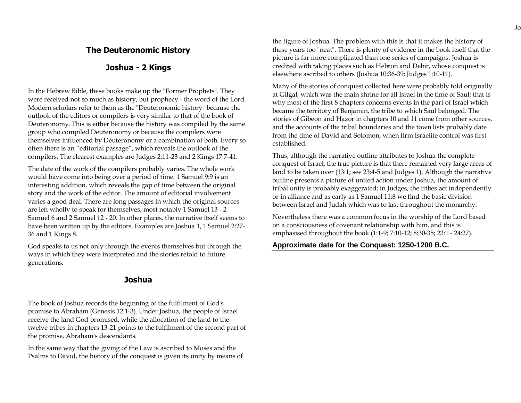## **The Deuteronomic History**

## **Joshua - 2 Kings**

In the Hebrew Bible, these books make up the "Former Prophets". They were received not so much as history, but prophecy - the word of the Lord. Modern scholars refer to them as the "Deuteronomic history" because the outlook of the editors or compilers is very similar to that of the book of Deuteronomy. This is either because the history was compiled by the same group who compiled Deuteronomy or because the compilers were themselves influenced by Deuteronomy or a combination of both. Every so often there is an "editorial passage", which reveals the outlook of the compilers. The clearest examples are Judges 2:11-23 and 2 Kings 17:7-41.

The date of the work of the compilers probably varies. The whole work would have come into being over a period of time. 1 Samuel 9:9 is an interesting addition, which reveals the gap of time between the original story and the work of the editor. The amount of editorial involvement varies a good deal. There are long passages in which the original sources are left wholly to speak for themselves, most notably 1 Samuel 13 - 2 Samuel 6 and 2 Samuel 12 - 20. In other places, the narrative itself seems to have been written up by the editors. Examples are Joshua 1, 1 Samuel 2:27- 36 and 1 Kings 8.

God speaks to us not only through the events themselves but through the ways in which they were interpreted and the stories retold to future generations.

### **Joshua**

The book of Joshua records the beginning of the fulfilment of God's promise to Abraham (Genesis 12:1-3). Under Joshua, the people of Israel receive the land God promised, while the allocation of the land to the twelve tribes in chapters 13-21 points to the fulfilment of the second part of the promise, Abraham's descendants.

In the same way that the giving of the Law is ascribed to Moses and the Psalms to David, the history of the conquest is given its unity by means of

the figure of Joshua. The problem with this is that it makes the history of these years too "neat". There is plenty of evidence in the book itself that the picture is far more complicated than one series of campaigns. Joshua is credited with taking places such as Hebron and Debir, whose conquest is elsewhere ascribed to others (Joshua 10:36-39; Judges 1:10-11).

Many of the stories of conquest collected here were probably told originally at Gilgal, which was the main shrine for all Israel in the time of Saul; that is why most of the first 8 chapters concerns events in the part of Israel which became the territory of Benjamin, the tribe to which Saul belonged. The stories of Gibeon and Hazor in chapters 10 and 11 come from other sources, and the accounts of the tribal boundaries and the town lists probably date from the time of David and Solomon, when firm Israelite control was first established.

Thus, although the narrative outline attributes to Joshua the complete conquest of Israel, the true picture is that there remained very large areas of land to be taken over (13:1; see 23:4-5 and Judges 1). Although the narrative outline presents a picture of united action under Joshua, the amount of tribal unity is probably exaggerated; in Judges, the tribes act independently or in alliance and as early as 1 Samuel 11:8 we find the basic division between Israel and Judah which was to last throughout the monarchy.

Nevertheless there was a common focus in the worship of the Lord based on a consciousness of covenant relationship with him, and this is emphasised throughout the book (1:1-9; 7:10-12; 8:30-35; 23:1 - 24:27).

### **Approximate date for the Conquest: 1250-1200 B.C.**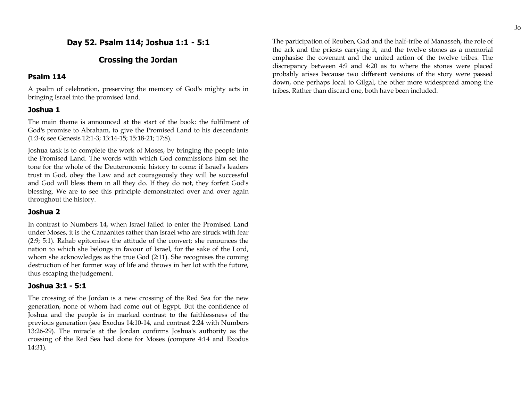## **Day 52. Psalm 114; Joshua 1:1 - 5:1**

## **Crossing the Jordan**

#### **Psalm 114**

A psalm of celebration, preserving the memory of God's mighty acts in bringing Israel into the promised land.

#### **Joshua 1**

The main theme is announced at the start of the book: the fulfilment of God's promise to Abraham, to give the Promised Land to his descendants (1:3-6; see Genesis 12:1-3; 13:14-15; 15:18-21; 17:8).

Joshua task is to complete the work of Moses, by bringing the people into the Promised Land. The words with which God commissions him set the tone for the whole of the Deuteronomic history to come: if Israel's leaders trust in God, obey the Law and act courageously they will be successful and God will bless them in all they do. If they do not, they forfeit God's blessing. We are to see this principle demonstrated over and over again throughout the history.

### **Joshua 2**

In contrast to Numbers 14, when Israel failed to enter the Promised Land under Moses, it is the Canaanites rather than Israel who are struck with fear (2:9; 5:1). Rahab epitomises the attitude of the convert; she renounces the nation to which she belongs in favour of Israel, for the sake of the Lord, whom she acknowledges as the true God (2:11). She recognises the coming destruction of her former way of life and throws in her lot with the future, thus escaping the judgement.

#### **Joshua 3:1 - 5:1**

The crossing of the Jordan is a new crossing of the Red Sea for the new generation, none of whom had come out of Egypt. But the confidence of Joshua and the people is in marked contrast to the faithlessness of the previous generation (see Exodus 14:10-14, and contrast 2:24 with Numbers 13:26-29). The miracle at the Jordan confirms Joshua's authority as the crossing of the Red Sea had done for Moses (compare 4:14 and Exodus 14:31).

The participation of Reuben, Gad and the half-tribe of Manasseh, the role of the ark and the priests carrying it, and the twelve stones as a memorial emphasise the covenant and the united action of the twelve tribes. The discrepancy between 4:9 and 4:20 as to where the stones were placed probably arises because two different versions of the story were passed down, one perhaps local to Gilgal, the other more widespread among the tribes. Rather than discard one, both have been included.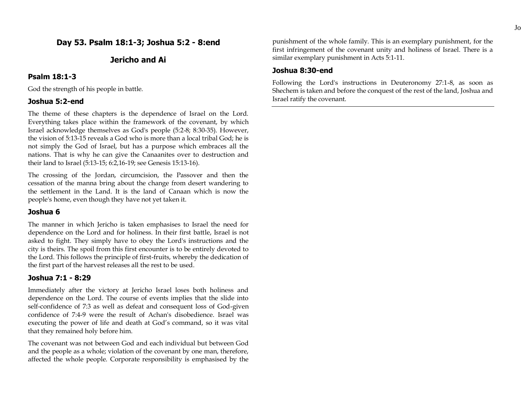## **Day 53. Psalm 18:1-3; Joshua 5:2 - 8:end**

### **Jericho and Ai**

#### **Psalm 18:1-3**

God the strength of his people in battle.

### **Joshua 5:2-end**

The theme of these chapters is the dependence of Israel on the Lord. Everything takes place within the framework of the covenant, by which Israel acknowledge themselves as God's people (5:2-8; 8:30-35). However, the vision of 5:13-15 reveals a God who is more than a local tribal God; he is not simply the God of Israel, but has a purpose which embraces all the nations. That is why he can give the Canaanites over to destruction and their land to Israel (5:13-15; 6:2,16-19; see Genesis 15:13-16).

The crossing of the Jordan, circumcision, the Passover and then the cessation of the manna bring about the change from desert wandering to the settlement in the Land. It is the land of Canaan which is now the people's home, even though they have not yet taken it.

#### **Joshua 6**

The manner in which Jericho is taken emphasises to Israel the need for dependence on the Lord and for holiness. In their first battle, Israel is not asked to fight. They simply have to obey the Lord's instructions and the city is theirs. The spoil from this first encounter is to be entirely devoted to the Lord. This follows the principle of first-fruits, whereby the dedication of the first part of the harvest releases all the rest to be used.

### **Joshua 7:1 - 8:29**

Immediately after the victory at Jericho Israel loses both holiness and dependence on the Lord. The course of events implies that the slide into self-confidence of 7:3 as well as defeat and consequent loss of God-given confidence of 7:4-9 were the result of Achan's disobedience. Israel was executing the power of life and death at God's command, so it was vital that they remained holy before him.

The covenant was not between God and each individual but between God and the people as a whole; violation of the covenant by one man, therefore, affected the whole people. Corporate responsibility is emphasised by the

punishment of the whole family. This is an exemplary punishment, for the first infringement of the covenant unity and holiness of Israel. There is a similar exemplary punishment in Acts 5:1-11.

#### **Joshua 8:30-end**

Following the Lord's instructions in Deuteronomy 27:1-8, as soon as Shechem is taken and before the conquest of the rest of the land, Joshua and Israel ratify the covenant.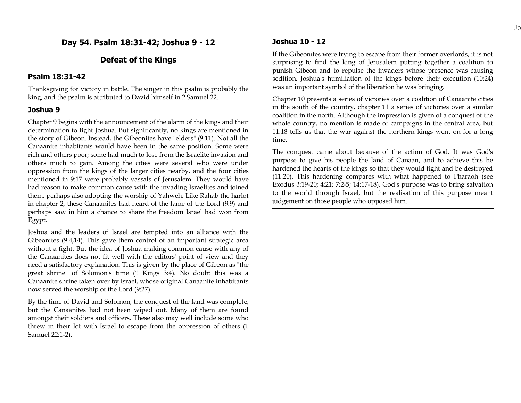**Day 54. Psalm 18:31-42; Joshua 9 - 12**

### **Defeat of the Kings**

#### **Psalm 18:31-42**

Thanksgiving for victory in battle. The singer in this psalm is probably the king, and the psalm is attributed to David himself in 2 Samuel 22.

#### **Joshua 9**

Chapter 9 begins with the announcement of the alarm of the kings and their determination to fight Joshua. But significantly, no kings are mentioned in the story of Gibeon. Instead, the Gibeonites have "elders" (9:11). Not all the Canaanite inhabitants would have been in the same position. Some were rich and others poor; some had much to lose from the Israelite invasion and others much to gain. Among the cities were several who were under oppression from the kings of the larger cities nearby, and the four cities mentioned in 9:17 were probably vassals of Jerusalem. They would have had reason to make common cause with the invading Israelites and joined them, perhaps also adopting the worship of Yahweh. Like Rahab the harlot in chapter 2, these Canaanites had heard of the fame of the Lord (9:9) and perhaps saw in him a chance to share the freedom Israel had won from Egypt.

Joshua and the leaders of Israel are tempted into an alliance with the Gibeonites (9:4,14). This gave them control of an important strategic area without a fight. But the idea of Joshua making common cause with any of the Canaanites does not fit well with the editors' point of view and they need a satisfactory explanation. This is given by the place of Gibeon as "the great shrine" of Solomon's time (1 Kings 3:4). No doubt this was a Canaanite shrine taken over by Israel, whose original Canaanite inhabitants now served the worship of the Lord (9:27).

By the time of David and Solomon, the conquest of the land was complete, but the Canaanites had not been wiped out. Many of them are found amongst their soldiers and officers. These also may well include some who threw in their lot with Israel to escape from the oppression of others (1 Samuel 22:1-2).

### **Joshua 10 - 12**

If the Gibeonites were trying to escape from their former overlords, it is not surprising to find the king of Jerusalem putting together a coalition to punish Gibeon and to repulse the invaders whose presence was causing sedition. Joshua's humiliation of the kings before their execution (10:24) was an important symbol of the liberation he was bringing.

Chapter 10 presents a series of victories over a coalition of Canaanite cities in the south of the country, chapter 11 a series of victories over a similar coalition in the north. Although the impression is given of a conquest of the whole country, no mention is made of campaigns in the central area, but 11:18 tells us that the war against the northern kings went on for a long time.

The conquest came about because of the action of God. It was God's purpose to give his people the land of Canaan, and to achieve this he hardened the hearts of the kings so that they would fight and be destroyed (11:20). This hardening compares with what happened to Pharaoh (see Exodus 3:19-20; 4:21; 7:2-5; 14:17-18). God's purpose was to bring salvation to the world through Israel, but the realisation of this purpose meant judgement on those people who opposed him.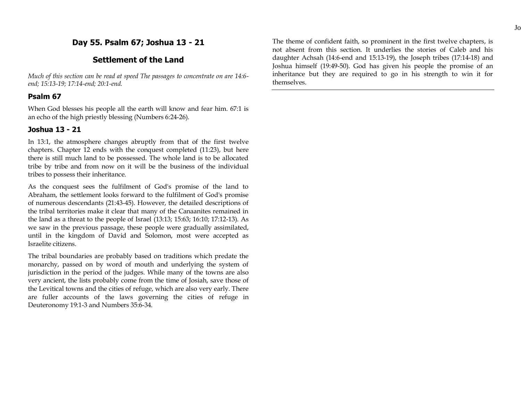## **Day 55. Psalm 67; Joshua 13 - 21**

### **Settlement of the Land**

*Much of this section can be read at speed The passages to concentrate on are 14:6 end; 15:13-19; 17:14-end; 20:1-end.*

### **Psalm 67**

When God blesses his people all the earth will know and fear him. 67:1 is an echo of the high priestly blessing (Numbers 6:24-26).

### **Joshua 13 - 21**

In 13:1, the atmosphere changes abruptly from that of the first twelve chapters. Chapter 12 ends with the conquest completed (11:23), but here there is still much land to be possessed. The whole land is to be allocated tribe by tribe and from now on it will be the business of the individual tribes to possess their inheritance.

As the conquest sees the fulfilment of God's promise of the land to Abraham, the settlement looks forward to the fulfilment of God's promise of numerous descendants (21:43-45). However, the detailed descriptions of the tribal territories make it clear that many of the Canaanites remained in the land as a threat to the people of Israel (13:13; 15:63; 16:10; 17:12-13). As we saw in the previous passage, these people were gradually assimilated, until in the kingdom of David and Solomon, most were accepted as Israelite citizens.

The tribal boundaries are probably based on traditions which predate the monarchy, passed on by word of mouth and underlying the system of jurisdiction in the period of the judges. While many of the towns are also very ancient, the lists probably come from the time of Josiah, save those of the Levitical towns and the cities of refuge, which are also very early. There are fuller accounts of the laws governing the cities of refuge in Deuteronomy 19:1-3 and Numbers 35:6-34.

The theme of confident faith, so prominent in the first twelve chapters, is not absent from this section. It underlies the stories of Caleb and his daughter Achsah (14:6-end and 15:13-19), the Joseph tribes (17:14-18) and Joshua himself (19:49-50). God has given his people the promise of an inheritance but they are required to go in his strength to win it for themselves.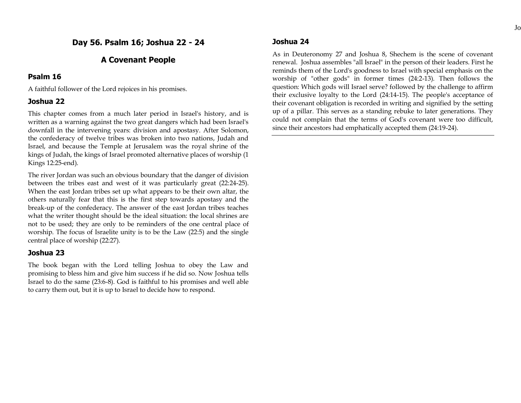## **A Covenant People**

### **Psalm 16**

A faithful follower of the Lord rejoices in his promises.

## **Joshua 22**

This chapter comes from a much later period in Israel's history, and is written as a warning against the two great dangers which had been Israel's downfall in the intervening years: division and apostasy. After Solomon, the confederacy of twelve tribes was broken into two nations, Judah and Israel, and because the Temple at Jerusalem was the royal shrine of the kings of Judah, the kings of Israel promoted alternative places of worship (1 Kings 12:25-end).

The river Jordan was such an obvious boundary that the danger of division between the tribes east and west of it was particularly great (22:24-25). When the east Jordan tribes set up what appears to be their own altar, the others naturally fear that this is the first step towards apostasy and the break-up of the confederacy. The answer of the east Jordan tribes teaches what the writer thought should be the ideal situation: the local shrines are not to be used; they are only to be reminders of the one central place of worship. The focus of Israelite unity is to be the Law (22:5) and the single central place of worship (22:27).

## **Joshua 23**

The book began with the Lord telling Joshua to obey the Law and promising to bless him and give him success if he did so. Now Joshua tells Israel to do the same (23:6-8). God is faithful to his promises and well able to carry them out, but it is up to Israel to decide how to respond.

## **Joshua 24**

As in Deuteronomy 27 and Joshua 8, Shechem is the scene of covenant renewal. Joshua assembles "all Israel" in the person of their leaders. First he reminds them of the Lord's goodness to Israel with special emphasis on the worship of "other gods" in former times (24:2-13). Then follows the question: Which gods will Israel serve? followed by the challenge to affirm their exclusive loyalty to the Lord (24:14-15). The people's acceptance of their covenant obligation is recorded in writing and signified by the setting up of a pillar. This serves as a standing rebuke to later generations. They could not complain that the terms of God's covenant were too difficult, since their ancestors had emphatically accepted them (24:19-24).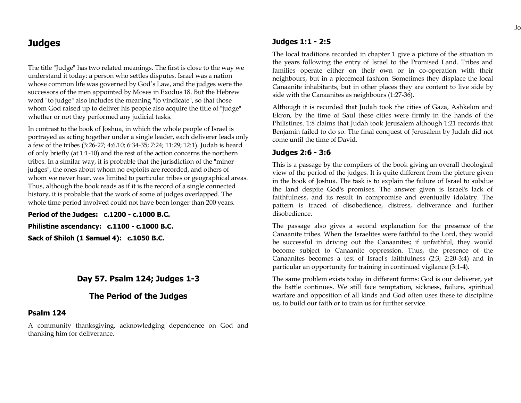# **Judges**

The title "Judge" has two related meanings. The first is close to the way we understand it today: a person who settles disputes. Israel was a nation whose common life was governed by God's Law, and the judges were the successors of the men appointed by Moses in Exodus 18. But the Hebrew word "to judge" also includes the meaning "to vindicate", so that those whom God raised up to deliver his people also acquire the title of "judge" whether or not they performed any judicial tasks.

In contrast to the book of Joshua, in which the whole people of Israel is portrayed as acting together under a single leader, each deliverer leads only a few of the tribes (3:26-27; 4:6,10; 6:34-35; 7:24; 11:29; 12:1). Judah is heard of only briefly (at 1:1-10) and the rest of the action concerns the northern tribes. In a similar way, it is probable that the jurisdiction of the "minor judges", the ones about whom no exploits are recorded, and others of whom we never hear, was limited to particular tribes or geographical areas. Thus, although the book reads as if it is the record of a single connected history, it is probable that the work of some of judges overlapped. The whole time period involved could not have been longer than 200 years.

**Period of the Judges: c.1200 - c.1000 B.C. Philistine ascendancy: c.1100 - c.1000 B.C. Sack of Shiloh (1 Samuel 4): c.1050 B.C.**

## **Day 57. Psalm 124; Judges 1-3**

## **The Period of the Judges**

### **Psalm 124**

A community thanksgiving, acknowledging dependence on God and thanking him for deliverance.

## **Judges 1:1 - 2:5**

The local traditions recorded in chapter 1 give a picture of the situation in the years following the entry of Israel to the Promised Land. Tribes and families operate either on their own or in co-operation with their neighbours, but in a piecemeal fashion. Sometimes they displace the local Canaanite inhabitants, but in other places they are content to live side by side with the Canaanites as neighbours (1:27-36).

Although it is recorded that Judah took the cities of Gaza, Ashkelon and Ekron, by the time of Saul these cities were firmly in the hands of the Philistines. 1:8 claims that Judah took Jerusalem although 1:21 records that Benjamin failed to do so. The final conquest of Jerusalem by Judah did not come until the time of David.

### **Judges 2:6 - 3:6**

This is a passage by the compilers of the book giving an overall theological view of the period of the judges. It is quite different from the picture given in the book of Joshua. The task is to explain the failure of Israel to subdue the land despite God's promises. The answer given is Israel's lack of faithfulness, and its result in compromise and eventually idolatry. The pattern is traced of disobedience, distress, deliverance and further disobedience.

The passage also gives a second explanation for the presence of the Canaanite tribes. When the Israelites were faithful to the Lord, they would be successful in driving out the Canaanites; if unfaithful, they would become subject to Canaanite oppression. Thus, the presence of the Canaanites becomes a test of Israel's faithfulness (2:3; 2:20-3:4) and in particular an opportunity for training in continued vigilance (3:1-4).

The same problem exists today in different forms: God is our deliverer, yet the battle continues. We still face temptation, sickness, failure, spiritual warfare and opposition of all kinds and God often uses these to discipline us, to build our faith or to train us for further service.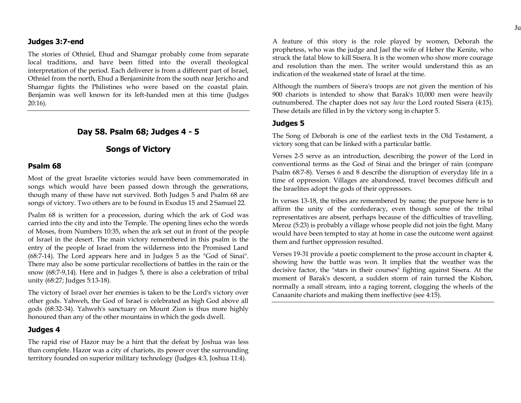#### **Judges 3:7-end**

The stories of Othniel, Ehud and Shamgar probably come from separate local traditions, and have been fitted into the overall theological interpretation of the period. Each deliverer is from a different part of Israel, Othniel from the north, Ehud a Benjaminite from the south near Jericho and Shamgar fights the Philistines who were based on the coastal plain. Benjamin was well known for its left-handed men at this time (Judges 20:16).

### **Day 58. Psalm 68; Judges 4 - 5**

## **Songs of Victory**

### **Psalm 68**

Most of the great Israelite victories would have been commemorated in songs which would have been passed down through the generations, though many of these have not survived. Both Judges 5 and Psalm 68 are songs of victory. Two others are to be found in Exodus 15 and 2 Samuel 22.

Psalm 68 is written for a procession, during which the ark of God was carried into the city and into the Temple. The opening lines echo the words of Moses, from Numbers 10:35, when the ark set out in front of the people of Israel in the desert. The main victory remembered in this psalm is the entry of the people of Israel from the wilderness into the Promised Land (68:7-14). The Lord appears here and in Judges 5 as the "God of Sinai". There may also be some particular recollections of battles in the rain or the snow (68:7-9,14). Here and in Judges 5, there is also a celebration of tribal unity (68:27; Judges 5:13-18).

The victory of Israel over her enemies is taken to be the Lord's victory over other gods. Yahweh, the God of Israel is celebrated as high God above all gods (68:32-34). Yahweh's sanctuary on Mount Zion is thus more highly honoured than any of the other mountains in which the gods dwell.

#### **Judges 4**

The rapid rise of Hazor may be a hint that the defeat by Joshua was less than complete. Hazor was a city of chariots, its power over the surrounding territory founded on superior military technology (Judges 4:3, Joshua 11:4).

A feature of this story is the role played by women, Deborah the prophetess, who was the judge and Jael the wife of Heber the Kenite, who struck the fatal blow to kill Sisera. It is the women who show more courage and resolution than the men. The writer would understand this as an indication of the weakened state of Israel at the time.

Although the numbers of Sisera's troops are not given the mention of his 900 chariots is intended to show that Barak's 10,000 men were heavily outnumbered. The chapter does not say *how* the Lord routed Sisera (4:15). These details are filled in by the victory song in chapter 5.

#### **Judges 5**

The Song of Deborah is one of the earliest texts in the Old Testament, a victory song that can be linked with a particular battle.

Verses 2-5 serve as an introduction, describing the power of the Lord in conventional terms as the God of Sinai and the bringer of rain (compare Psalm 68:7-8). Verses 6 and 8 describe the disruption of everyday life in a time of oppression. Villages are abandoned, travel becomes difficult and the Israelites adopt the gods of their oppressors.

In verses 13-18, the tribes are remembered by name; the purpose here is to affirm the unity of the confederacy, even though some of the tribal representatives are absent, perhaps because of the difficulties of travelling. Meroz (5:23) is probably a village whose people did not join the fight. Many would have been tempted to stay at home in case the outcome went against them and further oppression resulted.

Verses 19-31 provide a poetic complement to the prose account in chapter 4, showing how the battle was won. It implies that the weather was the decisive factor, the "stars in their courses" fighting against Sisera. At the moment of Barak's descent, a sudden storm of rain turned the Kishon, normally a small stream, into a raging torrent, clogging the wheels of the Canaanite chariots and making them ineffective (see 4:15).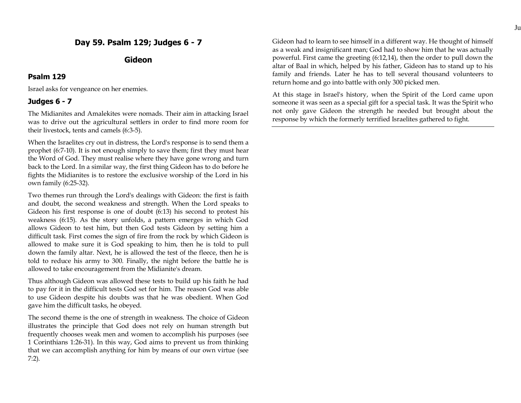## **Day 59. Psalm 129; Judges 6 - 7**

## **Gideon**

### **Psalm 129**

Israel asks for vengeance on her enemies.

## **Judges 6 - 7**

The Midianites and Amalekites were nomads. Their aim in attacking Israel was to drive out the agricultural settlers in order to find more room for their livestock, tents and camels (6:3-5).

When the Israelites cry out in distress, the Lord's response is to send them a prophet (6:7-10). It is not enough simply to save them; first they must hear the Word of God. They must realise where they have gone wrong and turn back to the Lord. In a similar way, the first thing Gideon has to do before he fights the Midianites is to restore the exclusive worship of the Lord in his own family (6:25-32).

Two themes run through the Lord's dealings with Gideon: the first is faith and doubt, the second weakness and strength. When the Lord speaks to Gideon his first response is one of doubt (6:13) his second to protest his weakness (6:15). As the story unfolds, a pattern emerges in which God allows Gideon to test him, but then God tests Gideon by setting him a difficult task. First comes the sign of fire from the rock by which Gideon is allowed to make sure it is God speaking to him, then he is told to pull down the family altar. Next, he is allowed the test of the fleece, then he is told to reduce his army to 300. Finally, the night before the battle he is allowed to take encouragement from the Midianite's dream.

Thus although Gideon was allowed these tests to build up his faith he had to pay for it in the difficult tests God set for him. The reason God was able to use Gideon despite his doubts was that he was obedient. When God gave him the difficult tasks, he obeyed.

The second theme is the one of strength in weakness. The choice of Gideon illustrates the principle that God does not rely on human strength but frequently chooses weak men and women to accomplish his purposes (see 1 Corinthians 1:26-31). In this way, God aims to prevent us from thinking that we can accomplish anything for him by means of our own virtue (see 7:2).

Gideon had to learn to see himself in a different way. He thought of himself as a weak and insignificant man; God had to show him that he was actually powerful. First came the greeting (6:12,14), then the order to pull down the altar of Baal in which, helped by his father, Gideon has to stand up to his family and friends. Later he has to tell several thousand volunteers to return home and go into battle with only 300 picked men.

At this stage in Israel's history, when the Spirit of the Lord came upon someone it was seen as a special gift for a special task. It was the Spirit who not only gave Gideon the strength he needed but brought about the response by which the formerly terrified Israelites gathered to fight.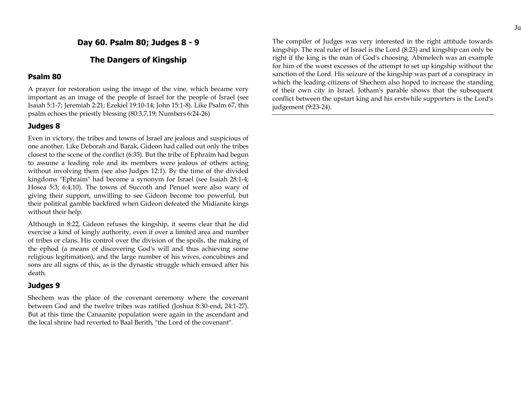**Day 60. Psalm 80; Judges 8 - 9**

## **The Dangers of Kingship**

#### **Psalm 80**

A prayer for restoration using the image of the vine, which became very important as an image of the people of Israel for the people of Israel (see Isaiah 5:1-7; Jeremiah 2:21; Ezekiel 19:10-14; John 15:1-8). Like Psalm 67, this psalm echoes the priestly blessing (80:3,7,19; Numbers 6:24-26)

### **Judges 8**

Even in victory, the tribes and towns of Israel are jealous and suspicious of one another. Like Deborah and Barak, Gideon had called out only the tribes closest to the scene of the conflict (6:35). But the tribe of Ephraim had begun to assume a leading role and its members were jealous of others acting without involving them (see also Judges 12:1). By the time of the divided kingdoms "Ephraim" had become a synonym for Israel (see Isaiah 28:1-4; Hosea 5:3; 6:4,10). The towns of Succoth and Penuel were also wary of giving their support, unwilling to see Gideon become too powerful, but their political gamble backfired when Gideon defeated the Midianite kings without their help.

Although in 8:22, Gideon refuses the kingship, it seems clear that he did exercise a kind of kingly authority, even if over a limited area and number of tribes or clans. His control over the division of the spoils, the making of the ephod (a means of discovering God's will and thus achieving some religious legitimation), and the large number of his wives, concubines and sons are all signs of this, as is the dynastic struggle which ensued after his death.

### **Judges 9**

Shechem was the place of the covenant ceremony where the covenant between God and the twelve tribes was ratified (Joshua 8:30-end, 24:1-27). But at this time the Canaanite population were again in the ascendant and the local shrine had reverted to Baal Berith, "the Lord of the covenant".

The compiler of Judges was very interested in the right attitude towards kingship. The real ruler of Israel is the Lord (8:23) and kingship can only be right if the king is the man of God's choosing. Abimelech was an example for him of the worst excesses of the attempt to set up kingship without the sanction of the Lord. His seizure of the kingship was part of a conspiracy in which the leading citizens of Shechem also hoped to increase the standing of their own city in Israel. Jotham's parable shows that the subsequent conflict between the upstart king and his erstwhile supporters is the Lord's judgement (9:23-24).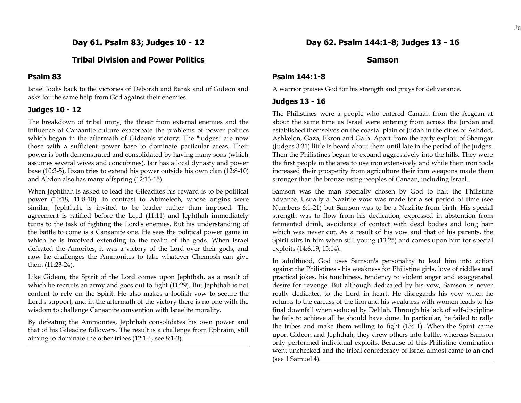**Day 61. Psalm 83; Judges 10 - 12**

## **Tribal Division and Power Politics**

### **Psalm 83**

Israel looks back to the victories of Deborah and Barak and of Gideon and asks for the same help from God against their enemies.

### **Judges 10 - 12**

The breakdown of tribal unity, the threat from external enemies and the influence of Canaanite culture exacerbate the problems of power politics which began in the aftermath of Gideon's victory. The "judges" are now those with a sufficient power base to dominate particular areas. Their power is both demonstrated and consolidated by having many sons (which assumes several wives and concubines). Jair has a local dynasty and power base (10:3-5), Ibzan tries to extend his power outside his own clan (12:8-10) and Abdon also has many offspring (12:13-15).

When Jephthah is asked to lead the Gileadites his reward is to be political power (10:18, 11:8-10). In contrast to Abimelech, whose origins were similar, Jephthah, is invited to be leader rather than imposed. The agreement is ratified before the Lord (11:11) and Jephthah immediately turns to the task of fighting the Lord's enemies. But his understanding of the battle to come is a Canaanite one. He sees the political power game in which he is involved extending to the realm of the gods. When Israel defeated the Amorites, it was a victory of the Lord over their gods, and now he challenges the Ammonites to take whatever Chemosh can give them (11:23-24).

Like Gideon, the Spirit of the Lord comes upon Jephthah, as a result of which he recruits an army and goes out to fight (11:29). But Jephthah is not content to rely on the Spirit. He also makes a foolish vow to secure the Lord's support, and in the aftermath of the victory there is no one with the wisdom to challenge Canaanite convention with Israelite morality.

By defeating the Ammonites, Jephthah consolidates his own power and that of his Gileadite followers. The result is a challenge from Ephraim, still aiming to dominate the other tribes (12:1-6, see 8:1-3).

### **Samson**

### **Psalm 144:1-8**

A warrior praises God for his strength and prays for deliverance.

#### **Judges 13 - 16**

The Philistines were a people who entered Canaan from the Aegean at about the same time as Israel were entering from across the Jordan and established themselves on the coastal plain of Judah in the cities of Ashdod, Ashkelon, Gaza, Ekron and Gath. Apart from the early exploit of Shamgar (Judges 3:31) little is heard about them until late in the period of the judges. Then the Philistines began to expand aggressively into the hills. They were the first people in the area to use iron extensively and while their iron tools increased their prosperity from agriculture their iron weapons made them stronger than the bronze-using peoples of Canaan, including Israel.

Samson was the man specially chosen by God to halt the Philistine advance. Usually a Nazirite vow was made for a set period of time (see Numbers 6:1-21) but Samson was to be a Nazirite from birth. His special strength was to flow from his dedication, expressed in abstention from fermented drink, avoidance of contact with dead bodies and long hair which was never cut. As a result of his vow and that of his parents, the Spirit stirs in him when still young (13:25) and comes upon him for special exploits (14:6,19; 15:14).

In adulthood, God uses Samson's personality to lead him into action against the Philistines - his weakness for Philistine girls, love of riddles and practical jokes, his touchiness, tendency to violent anger and exaggerated desire for revenge. But although dedicated by his vow, Samson is never really dedicated to the Lord in heart. He disregards his vow when he returns to the carcass of the lion and his weakness with women leads to his final downfall when seduced by Delilah. Through his lack of self-discipline he fails to achieve all he should have done. In particular, he failed to rally the tribes and make them willing to fight (15:11). When the Spirit came upon Gideon and Jephthah, they drew others into battle, whereas Samson only performed individual exploits. Because of this Philistine domination went unchecked and the tribal confederacy of Israel almost came to an end (see 1 Samuel 4).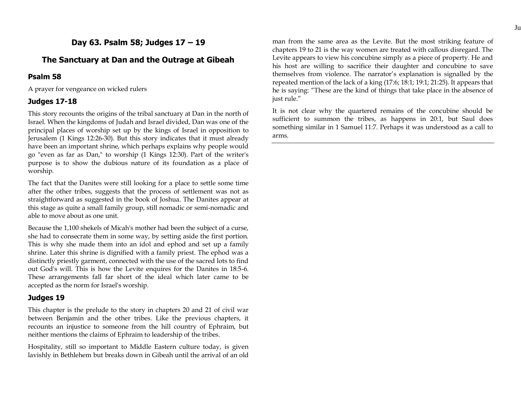## **Day 63. Psalm 58; Judges 17 – 19**

## **The Sanctuary at Dan and the Outrage at Gibeah**

### **Psalm 58**

A prayer for vengeance on wicked rulers

### **Judges 17-18**

This story recounts the origins of the tribal sanctuary at Dan in the north of Israel. When the kingdoms of Judah and Israel divided, Dan was one of the principal places of worship set up by the kings of Israel in opposition to Jerusalem (1 Kings 12:26-30). But this story indicates that it must already have been an important shrine, which perhaps explains why people would go "even as far as Dan," to worship (1 Kings 12:30). Part of the writer's purpose is to show the dubious nature of its foundation as a place of worship.

The fact that the Danites were still looking for a place to settle some time after the other tribes, suggests that the process of settlement was not as straightforward as suggested in the book of Joshua. The Danites appear at this stage as quite a small family group, still nomadic or semi-nomadic and able to move about as one unit.

Because the 1,100 shekels of Micah's mother had been the subject of a curse, she had to consecrate them in some way, by setting aside the first portion. This is why she made them into an idol and ephod and set up a family shrine. Later this shrine is dignified with a family priest. The ephod was a distinctly priestly garment, connected with the use of the sacred lots to find out God's will. This is how the Levite enquires for the Danites in 18:5-6. These arrangements fall far short of the ideal which later came to be accepted as the norm for Israel's worship.

### **Judges 19**

This chapter is the prelude to the story in chapters 20 and 21 of civil war between Benjamin and the other tribes. Like the previous chapters, it recounts an injustice to someone from the hill country of Ephraim, but neither mentions the claims of Ephraim to leadership of the tribes.

Hospitality, still so important to Middle Eastern culture today, is given lavishly in Bethlehem but breaks down in Gibeah until the arrival of an old man from the same area as the Levite. But the most striking feature of chapters 19 to 21 is the way women are treated with callous disregard. The Levite appears to view his concubine simply as a piece of property. He and his host are willing to sacrifice their daughter and concubine to save themselves from violence. The narrator's explanation is signalled by the repeated mention of the lack of a king (17:6; 18:1; 19:1; 21:25). It appears that he is saying: "These are the kind of things that take place in the absence of just rule."

It is not clear why the quartered remains of the concubine should be sufficient to summon the tribes, as happens in 20:1, but Saul does something similar in 1 Samuel 11:7. Perhaps it was understood as a call to arms.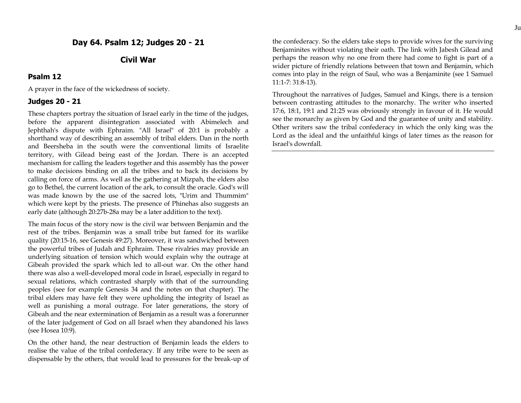## **Civil War**

#### **Psalm 12**

A prayer in the face of the wickedness of society.

### **Judges 20 - 21**

These chapters portray the situation of Israel early in the time of the judges, before the apparent disintegration associated with Abimelech and Jephthah's dispute with Ephraim. "All Israel" of 20:1 is probably a shorthand way of describing an assembly of tribal elders. Dan in the north and Beersheba in the south were the conventional limits of Israelite territory, with Gilead being east of the Jordan. There is an accepted mechanism for calling the leaders together and this assembly has the power to make decisions binding on all the tribes and to back its decisions by calling on force of arms. As well as the gathering at Mizpah, the elders also go to Bethel, the current location of the ark, to consult the oracle. God's will was made known by the use of the sacred lots, "Urim and Thummim" which were kept by the priests. The presence of Phinehas also suggests an early date (although 20:27b-28a may be a later addition to the text).

The main focus of the story now is the civil war between Benjamin and the rest of the tribes. Benjamin was a small tribe but famed for its warlike quality (20:15-16, see Genesis 49:27). Moreover, it was sandwiched between the powerful tribes of Judah and Ephraim. These rivalries may provide an underlying situation of tension which would explain why the outrage at Gibeah provided the spark which led to all-out war. On the other hand there was also a well-developed moral code in Israel, especially in regard to sexual relations, which contrasted sharply with that of the surrounding peoples (see for example Genesis 34 and the notes on that chapter). The tribal elders may have felt they were upholding the integrity of Israel as well as punishing a moral outrage. For later generations, the story of Gibeah and the near extermination of Benjamin as a result was a forerunner of the later judgement of God on all Israel when they abandoned his laws (see Hosea 10:9).

On the other hand, the near destruction of Benjamin leads the elders to realise the value of the tribal confederacy. If any tribe were to be seen as dispensable by the others, that would lead to pressures for the break-up of

the confederacy. So the elders take steps to provide wives for the surviving Benjaminites without violating their oath. The link with Jabesh Gilead and perhaps the reason why no one from there had come to fight is part of a wider picture of friendly relations between that town and Benjamin, which comes into play in the reign of Saul, who was a Benjaminite (see 1 Samuel 11:1-7: 31:8-13).

Throughout the narratives of Judges, Samuel and Kings, there is a tension between contrasting attitudes to the monarchy. The writer who inserted 17:6, 18:1, 19:1 and 21:25 was obviously strongly in favour of it. He would see the monarchy as given by God and the guarantee of unity and stability. Other writers saw the tribal confederacy in which the only king was the Lord as the ideal and the unfaithful kings of later times as the reason for Israel's downfall.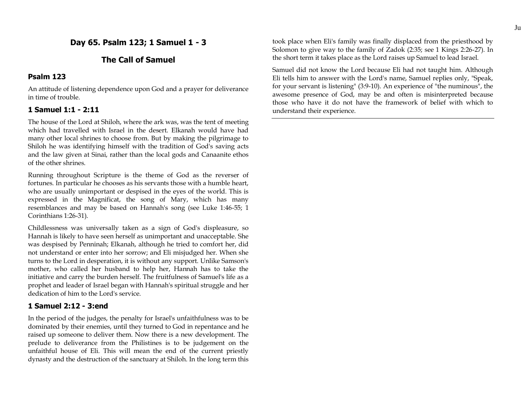## **Day 65. Psalm 123; 1 Samuel 1 - 3**

## **The Call of Samuel**

### **Psalm 123**

An attitude of listening dependence upon God and a prayer for deliverance in time of trouble.

### **1 Samuel 1:1 - 2:11**

The house of the Lord at Shiloh, where the ark was, was the tent of meeting which had travelled with Israel in the desert. Elkanah would have had many other local shrines to choose from. But by making the pilgrimage to Shiloh he was identifying himself with the tradition of God's saving acts and the law given at Sinai, rather than the local gods and Canaanite ethos of the other shrines.

Running throughout Scripture is the theme of God as the reverser of fortunes. In particular he chooses as his servants those with a humble heart, who are usually unimportant or despised in the eyes of the world. This is expressed in the Magnificat, the song of Mary, which has many resemblances and may be based on Hannah's song (see Luke 1:46-55; 1 Corinthians 1:26-31).

Childlessness was universally taken as a sign of God's displeasure, so Hannah is likely to have seen herself as unimportant and unacceptable. She was despised by Penninah; Elkanah, although he tried to comfort her, did not understand or enter into her sorrow; and Eli misjudged her. When she turns to the Lord in desperation, it is without any support. Unlike Samson's mother, who called her husband to help her, Hannah has to take the initiative and carry the burden herself. The fruitfulness of Samuel's life as a prophet and leader of Israel began with Hannah's spiritual struggle and her dedication of him to the Lord's service.

### **1 Samuel 2:12 - 3:end**

In the period of the judges, the penalty for Israel's unfaithfulness was to be dominated by their enemies, until they turned to God in repentance and he raised up someone to deliver them. Now there is a new development. The prelude to deliverance from the Philistines is to be judgement on the unfaithful house of Eli. This will mean the end of the current priestly dynasty and the destruction of the sanctuary at Shiloh. In the long term this took place when Eli's family was finally displaced from the priesthood by Solomon to give way to the family of Zadok (2:35; see 1 Kings 2:26-27). In the short term it takes place as the Lord raises up Samuel to lead Israel.

Samuel did not know the Lord because Eli had not taught him. Although Eli tells him to answer with the Lord's name, Samuel replies only, "Speak, for your servant is listening" (3:9-10). An experience of "the numinous", the awesome presence of God, may be and often is misinterpreted because those who have it do not have the framework of belief with which to understand their experience.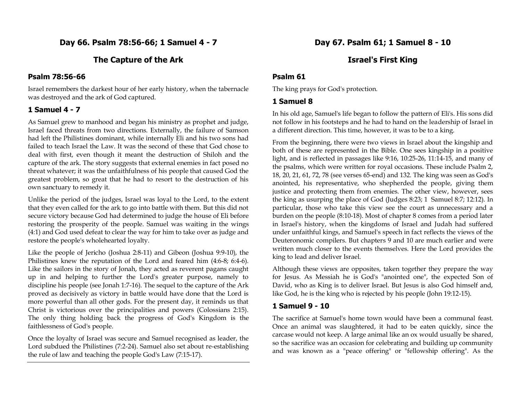**Day 66. Psalm 78:56-66; 1 Samuel 4 - 7**

## **The Capture of the Ark**

#### **Psalm 78:56-66**

Israel remembers the darkest hour of her early history, when the tabernacle was destroyed and the ark of God captured.

### **1 Samuel 4 - 7**

As Samuel grew to manhood and began his ministry as prophet and judge, Israel faced threats from two directions. Externally, the failure of Samson had left the Philistines dominant, while internally Eli and his two sons had failed to teach Israel the Law. It was the second of these that God chose to deal with first, even though it meant the destruction of Shiloh and the capture of the ark. The story suggests that external enemies in fact posed no threat whatever; it was the unfaithfulness of his people that caused God the greatest problem, so great that he had to resort to the destruction of his own sanctuary to remedy it.

Unlike the period of the judges, Israel was loyal to the Lord, to the extent that they even called for the ark to go into battle with them. But this did not secure victory because God had determined to judge the house of Eli before restoring the prosperity of the people. Samuel was waiting in the wings (4:1) and God used defeat to clear the way for him to take over as judge and restore the people's wholehearted loyalty.

Like the people of Jericho (Joshua 2:8-11) and Gibeon (Joshua 9:9-10), the Philistines knew the reputation of the Lord and feared him (4:6-8; 6:4-6). Like the sailors in the story of Jonah, they acted as reverent pagans caught up in and helping to further the Lord's greater purpose, namely to discipline his people (see Jonah 1:7-16). The sequel to the capture of the Ark proved as decisively as victory in battle would have done that the Lord is more powerful than all other gods. For the present day, it reminds us that Christ is victorious over the principalities and powers (Colossians 2:15). The only thing holding back the progress of God's Kingdom is the faithlessness of God's people.

Once the loyalty of Israel was secure and Samuel recognised as leader, the Lord subdued the Philistines (7:2-24). Samuel also set about re-establishing the rule of law and teaching the people God's Law (7:15-17).

## **Israel's First King**

### **Psalm 61**

The king prays for God's protection.

### **1 Samuel 8**

In his old age, Samuel's life began to follow the pattern of Eli's. His sons did not follow in his footsteps and he had to hand on the leadership of Israel in a different direction. This time, however, it was to be to a king.

From the beginning, there were two views in Israel about the kingship and both of these are represented in the Bible. One sees kingship in a positive light, and is reflected in passages like 9:16, 10:25-26, 11:14-15, and many of the psalms, which were written for royal occasions. These include Psalm 2, 18, 20, 21, 61, 72, 78 (see verses 65-end) and 132. The king was seen as God's anointed, his representative, who shepherded the people, giving them justice and protecting them from enemies. The other view, however, sees the king as usurping the place of God (Judges 8:23; 1 Samuel 8:7; 12:12). In particular, those who take this view see the court as unnecessary and a burden on the people (8:10-18). Most of chapter 8 comes from a period later in Israel's history, when the kingdoms of Israel and Judah had suffered under unfaithful kings, and Samuel's speech in fact reflects the views of the Deuteronomic compilers. But chapters 9 and 10 are much earlier and were written much closer to the events themselves. Here the Lord provides the king to lead and deliver Israel.

Although these views are opposites, taken together they prepare the way for Jesus. As Messiah he is God's "anointed one", the expected Son of David, who as King is to deliver Israel. But Jesus is also God himself and, like God, he is the king who is rejected by his people (John 19:12-15).

### **1 Samuel 9 - 10**

The sacrifice at Samuel's home town would have been a communal feast. Once an animal was slaughtered, it had to be eaten quickly, since the carcase would not keep. A large animal like an ox would usually be shared, so the sacrifice was an occasion for celebrating and building up community and was known as a "peace offering" or "fellowship offering". As the